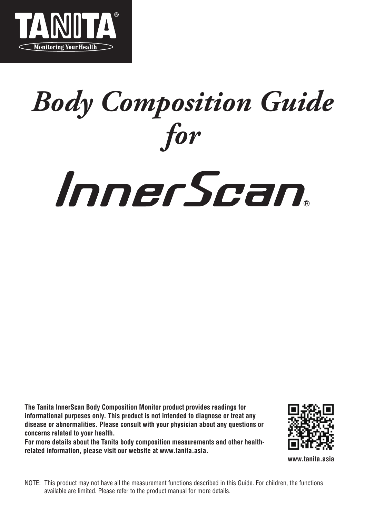

## *Body Composition Guide for*

# InnerScan.

**The Tanita InnerScan Body Composition Monitor product provides readings for informational purposes only. This product is not intended to diagnose or treat any disease or abnormalities. Please consult with your physician about any questions or concerns related to your health.**

**For more details about the Tanita body composition measurements and other healthrelated information, please visit our website at www.tanita.asia.** 



**www.tanita.asia**

NOTE: This product may not have all the measurement functions described in this Guide. For children, the functions available are limited. Please refer to the product manual for more details.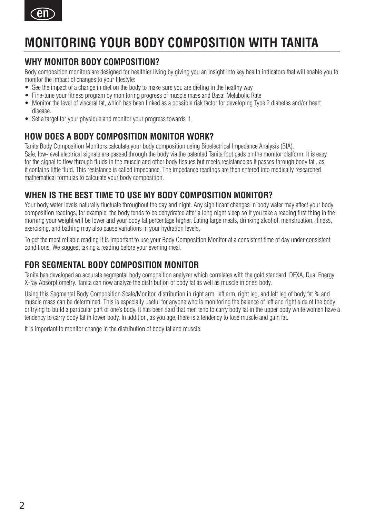

### **MONITORING YOUR BODY COMPOSITION WITH TANITA**

### **WHY MONITOR BODY COMPOSITION?**

Body composition monitors are designed for healthier living by giving you an insight into key health indicators that will enable you to monitor the impact of changes to your lifestyle:

- See the impact of a change in diet on the body to make sure you are dieting in the healthy way
- Fine-tune your fitness program by monitoring progress of muscle mass and Basal Metabolic Rate
- Monitor the level of visceral fat, which has been linked as a possible risk factor for developing Type 2 diabetes and/or heart disease.
- Set a target for your physique and monitor your progress towards it.

### **HOW DOES A BODY COMPOSITION MONITOR WORK?**

Tanita Body Composition Monitors calculate your body composition using Bioelectrical Impedance Analysis (BIA). Safe, low-level electrical signals are passed through the body via the patented Tanita foot pads on the monitor platform. It is easy for the signal to flow through fluids in the muscle and other body tissues but meets resistance as it passes through body fat , as it contains little fluid. This resistance is called impedance. The impedance readings are then entered into medically researched mathematical formulas to calculate your body composition.

### **WHEN IS THE BEST TIME TO USE MY BODY COMPOSITION MONITOR?**

Your body water levels naturally fluctuate throughout the day and night. Any significant changes in body water may affect your body composition readings; for example, the body tends to be dehydrated after a long night sleep so if you take a reading first thing in the morning your weight will be lower and your body fat percentage higher. Eating large meals, drinking alcohol, menstruation, illness, exercising, and bathing may also cause variations in your hydration levels.

To get the most reliable reading it is important to use your Body Composition Monitor at a consistent time of day under consistent conditions. We suggest taking a reading before your evening meal.

### **FOR SEGMENTAL BODY COMPOSITION MONITOR**

Tanita has developed an accurate segmental body composition analyzer which correlates with the gold standard, DEXA, Dual Energy X-ray Absorptiometry. Tanita can now analyze the distribution of body fat as well as muscle in one's body.

Using this Segmental Body Composition Scale/Monitor, distribution in right arm, left arm, right leg, and left leg of body fat % and muscle mass can be determined. This is especially useful for anyone who is monitoring the balance of left and right side of the body or trying to build a particular part of one's body. It has been said that men tend to carry body fat in the upper body while women have a tendency to carry body fat in lower body. In addition, as you age, there is a tendency to lose muscle and gain fat.

It is important to monitor change in the distribution of body fat and muscle.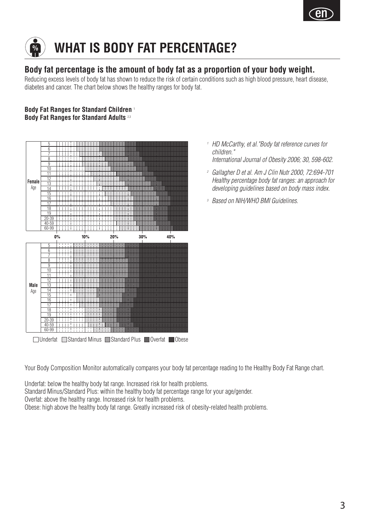



### **Body fat percentage is the amount of body fat as a proportion of your body weight.**

Reducing excess levels of body fat has shown to reduce the risk of certain conditions such as high blood pressure, heart disease, diabetes and cancer. The chart below shows the healthy ranges for body fat.

### **Body Fat Ranges for Standard Children** <sup>1</sup> **Body Fat Ranges for Standard Adults** 2,3



Underfat Standard Minus Standard Plus Overfat Obese

*<sup>1</sup> HD McCarthy, et al."Body fat reference curves for children."*

*International Journal of Obesity 2006; 30, 598-602.*

- *<sup>2</sup> Gallagher D et al. Am J Clin Nutr 2000, 72:694-701 Healthy percentage body fat ranges: an approach for developing guidelines based on body mass index.*
- *<sup>3</sup> Based on NIH/WHO BMI Guidelines.*

Your Body Composition Monitor automatically compares your body fat percentage reading to the Healthy Body Fat Range chart.

Underfat: below the healthy body fat range. Increased risk for health problems.

Standard Minus/Standard Plus: within the healthy body fat percentage range for your age/gender.

Overfat: above the healthy range. Increased risk for health problems.

Obese: high above the healthy body fat range. Greatly increased risk of obesity-related health problems.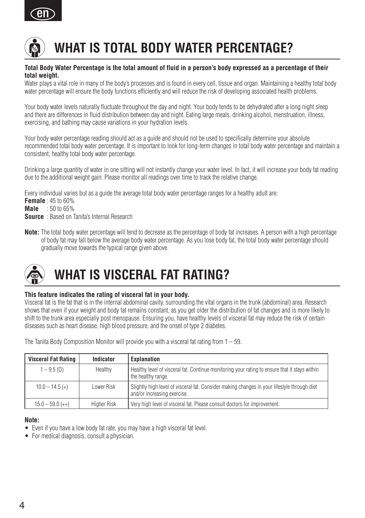



### **WHAT IS TOTAL BODY WATER PERCENTAGE?**

#### **Total Body Water Percentage is the total amount of fluid in a person's body expressed as a percentage of their total weight.**

Water plays a vital role in many of the body's processes and is found in every cell, tissue and organ. Maintaining a healthy total body water percentage will ensure the body functions efficiently and will reduce the risk of developing associated health problems.

Your body water levels naturally fluctuate throughout the day and night. Your body tends to be dehydrated after a long night sleep and there are differences in fluid distribution between day and night. Eating large meals, drinking alcohol, menstruation, illness, exercising, and bathing may cause variations in your hydration levels.

Your body water percentage reading should act as a guide and should not be used to specifically determine your absolute recommended total body water percentage. It is important to look for long-term changes in total body water percentage and maintain a consistent, healthy total body water percentage.

Drinking a large quantity of water in one sitting will not instantly change your water level. In fact, it will increase your body fat reading due to the additional weight gain. Please monitor all readings over time to track the relative change.

Every individual varies but as a guide the average total body water percentage ranges for a healthy adult are: **Female** : 45 to 60% **Male** : 50 to 65% **Source** : Based on Tanita's Internal Research

**Note:** The total body water percentage will tend to decrease as the percentage of body fat increases. A person with a high percentage of body fat may fall below the average body water percentage. As you lose body fat, the total body water percentage should gradually move towards the typical range given above.

### **WHAT IS VISCERAL FAT RATING?**

#### **This feature indicates the rating of visceral fat in your body.**

Visceral fat is the fat that is in the internal abdominal cavity, surrounding the vital organs in the trunk (abdominal) area. Research shows that even if your weight and body fat remains constant, as you get older the distribution of fat changes and is more likely to shift to the trunk area especially post menopause. Ensuring you, have healthy levels of visceral fat may reduce the risk of certain diseases such as heart disease, high blood pressure, and the onset of type 2 diabetes.

| <b>Visceral Fat Rating</b> | Indicator   | <b>Explanation</b>                                                                                                         |
|----------------------------|-------------|----------------------------------------------------------------------------------------------------------------------------|
| $1 - 9.5(0)$               | Healthy     | Healthy level of visceral fat. Continue monitoring your rating to ensure that it stays within<br>the healthy range.        |
| $10.0 - 14.5 (+)$          | Lower Risk  | Slightly high level of visceral fat. Consider making changes in your lifestyle through diet<br>and/or increasing exercise. |
| $15.0 - 59.0 (++)$         | Higher Risk | Very high level of visceral fat. Please consult doctors for improvement.                                                   |

The Tanita Body Composition Monitor will provide you with a visceral fat rating from 1 – 59.

#### **Note:**

- Even if you have a low body fat rate, you may have a high visceral fat level.
- For medical diagnosis, consult a physician.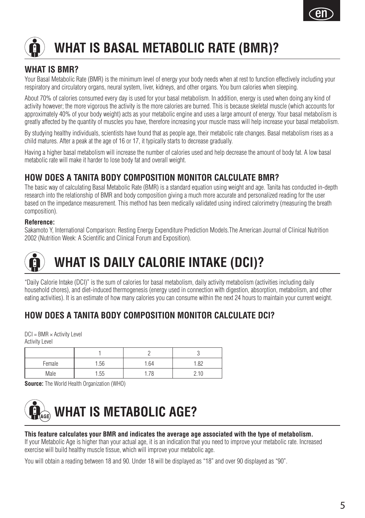

### **WHAT IS BASAL METABOLIC RATE (BMR)?**

### **WHAT IS BMR?**

Your Basal Metabolic Rate (BMR) is the minimum level of energy your body needs when at rest to function effectively including your respiratory and circulatory organs, neural system, liver, kidneys, and other organs. You burn calories when sleeping.

About 70% of calories consumed every day is used for your basal metabolism. In addition, energy is used when doing any kind of activity however; the more vigorous the activity is the more calories are burned. This is because skeletal muscle (which accounts for approximately 40% of your body weight) acts as your metabolic engine and uses a large amount of energy. Your basal metabolism is greatly affected by the quantity of muscles you have, therefore increasing your muscle mass will help increase your basal metabolism.

By studying healthy individuals, scientists have found that as people age, their metabolic rate changes. Basal metabolism rises as a child matures. After a peak at the age of 16 or 17, it typically starts to decrease gradually.

Having a higher basal metabolism will increase the number of calories used and help decrease the amount of body fat. A low basal metabolic rate will make it harder to lose body fat and overall weight.

### **HOW DOES A TANITA BODY COMPOSITION MONITOR CALCULATE BMR?**

The basic way of calculating Basal Metabolic Rate (BMR) is a standard equation using weight and age. Tanita has conducted in-depth research into the relationship of BMR and body composition giving a much more accurate and personalized reading for the user based on the impedance measurement. This method has been medically validated using indirect calorimetry (measuring the breath composition).

### **Reference:**

Sakamoto Y, International Comparison: Besting Energy Expenditure Prediction Models The American Journal of Clinical Nutrition 2002 (Nutrition Week: A Scientific and Clinical Forum and Exposition).

### **WHAT IS DAILY CALORIE INTAKE (DCI)?**

"Daily Calorie Intake (DCI)" is the sum of calories for basal metabolism, daily activity metabolism (activities including daily household chores), and diet-induced thermogenesis (energy used in connection with digestion, absorption, metabolism, and other eating activities). It is an estimate of how many calories you can consume within the next 24 hours to maintain your current weight.

### **HOW DOES A TANITA BODY COMPOSITION MONITOR CALCULATE DCI?**

 $DCI = BMR \times$  Activity Level Activity Level

| Female | . 56 | i.64                       | 1.82 |
|--------|------|----------------------------|------|
| Vlale  | i.55 | . . <i>. .</i> $\sim$<br>u |      |

**Source:** The World Health Organization (WHO)



#### **This feature calculates your BMR and indicates the average age associated with the type of metabolism.**

If your Metabolic Age is higher than your actual age, it is an indication that you need to improve your metabolic rate. Increased exercise will build healthy muscle tissue, which will improve your metabolic age.

You will obtain a reading between 18 and 90. Under 18 will be displayed as "18" and over 90 displayed as "90".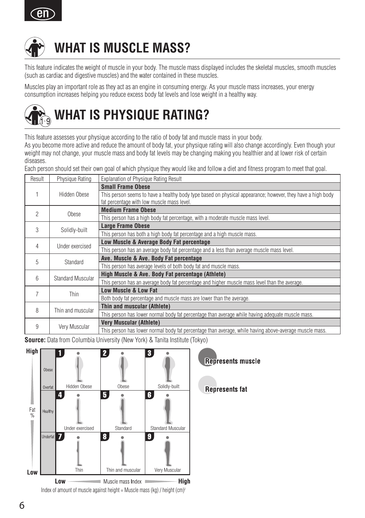



### **WHAT IS MUSCLE MASS?**

This feature indicates the weight of muscle in your body. The muscle mass displayed includes the skeletal muscles, smooth muscles (such as cardiac and digestive muscles) and the water contained in these muscles.

Muscles play an important role as they act as an engine in consuming energy. As your muscle mass increases, your energy consumption increases helping you reduce excess body fat levels and lose weight in a healthy way.



This feature assesses your physique according to the ratio of body fat and muscle mass in your body.

As you become more active and reduce the amount of body fat, your physique rating will also change accordingly. Even though your weight may not change, your muscle mass and body fat levels may be changing making you healthier and at lower risk of certain diseases.

Each person should set their own goal of which physique they would like and follow a diet and fitness program to meet that goal.

| Result         | Physique Rating   | <b>Explanation of Physique Rating Result</b>                                                               |
|----------------|-------------------|------------------------------------------------------------------------------------------------------------|
|                |                   | <b>Small Frame Obese</b>                                                                                   |
|                | Hidden Obese      | This person seems to have a healthy body type based on physical appearance; however, they have a high body |
|                |                   | fat percentage with low muscle mass level.                                                                 |
| $\mathfrak{D}$ | Obese             | <b>Medium Frame Obese</b>                                                                                  |
|                |                   | This person has a high body fat percentage, with a moderate muscle mass level.                             |
| 3              | Solidly-built     | <b>Large Frame Obese</b>                                                                                   |
|                |                   | This person has both a high body fat percentage and a high muscle mass.                                    |
| 4              | Under exercised   | Low Muscle & Average Body Fat percentage                                                                   |
|                |                   | This person has an average body fat percentage and a less than average muscle mass level.                  |
| 5              |                   | Ave. Muscle & Ave. Body Fat percentage                                                                     |
|                | Standard          | This person has average levels of both body fat and muscle mass.                                           |
| 6              | Standard Muscular | High Muscle & Ave. Body Fat percentage (Athlete)                                                           |
|                |                   | This person has an average body fat percentage and higher muscle mass level than the average.              |
| 7              |                   | Low Muscle & Low Fat                                                                                       |
|                | Thin              | Both body fat percentage and muscle mass are lower than the average.                                       |
|                | Thin and muscular | Thin and muscular (Athlete)                                                                                |
| 8              |                   | This person has lower normal body fat percentage than average while having adequate muscle mass.           |
|                |                   | <b>Very Muscular (Athlete)</b>                                                                             |
| 9              | Very Muscular     | This person has lower normal body fat percentage than average, while having above-average muscle mass.     |

**Source:** Data from Columbia University (New York) & Tanita Institute (Tokyo)



**Represents muscle** 

**Represents fat**